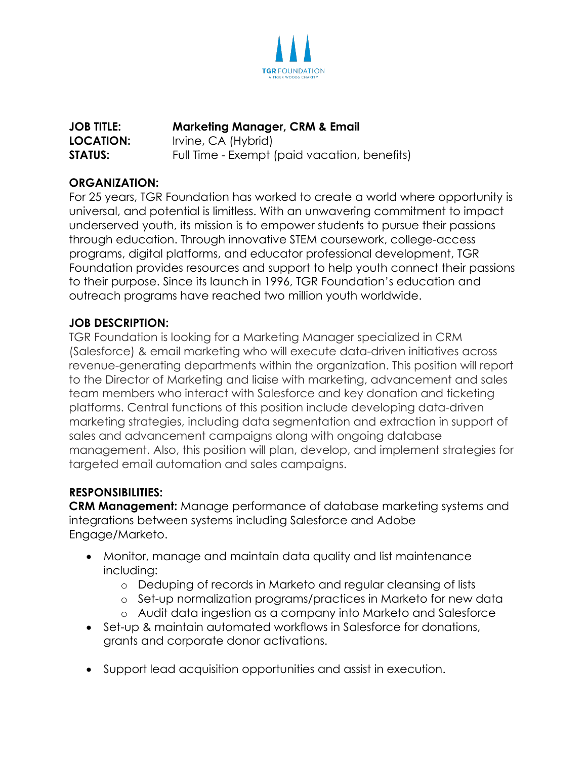

## **JOB TITLE: Marketing Manager, CRM & Email LOCATION:** Irvine, CA (Hybrid) **STATUS:** Full Time - Exempt (paid vacation, benefits)

## **ORGANIZATION:**

For 25 years, TGR Foundation has worked to create a world where opportunity is universal, and potential is limitless. With an unwavering commitment to impact underserved youth, its mission is to empower students to pursue their passions through education. Through innovative STEM coursework, college-access programs, digital platforms, and educator professional development, TGR Foundation provides resources and support to help youth connect their passions to their purpose. Since its launch in 1996, TGR Foundation's education and outreach programs have reached two million youth worldwide.

#### **JOB DESCRIPTION:**

TGR Foundation is looking for a Marketing Manager specialized in CRM (Salesforce) & email marketing who will execute data-driven initiatives across revenue-generating departments within the organization. This position will report to the Director of Marketing and liaise with marketing, advancement and sales team members who interact with Salesforce and key donation and ticketing platforms. Central functions of this position include developing data-driven marketing strategies, including data segmentation and extraction in support of sales and advancement campaigns along with ongoing database management. Also, this position will plan, develop, and implement strategies for targeted email automation and sales campaigns.

## **RESPONSIBILITIES:**

**CRM Management:** Manage performance of database marketing systems and integrations between systems including Salesforce and Adobe Engage/Marketo.

- Monitor, manage and maintain data quality and list maintenance including:
	- o Deduping of records in Marketo and regular cleansing of lists
	- o Set-up normalization programs/practices in Marketo for new data
	- o Audit data ingestion as a company into Marketo and Salesforce
- Set-up & maintain automated workflows in Salesforce for donations, grants and corporate donor activations.
- Support lead acquisition opportunities and assist in execution.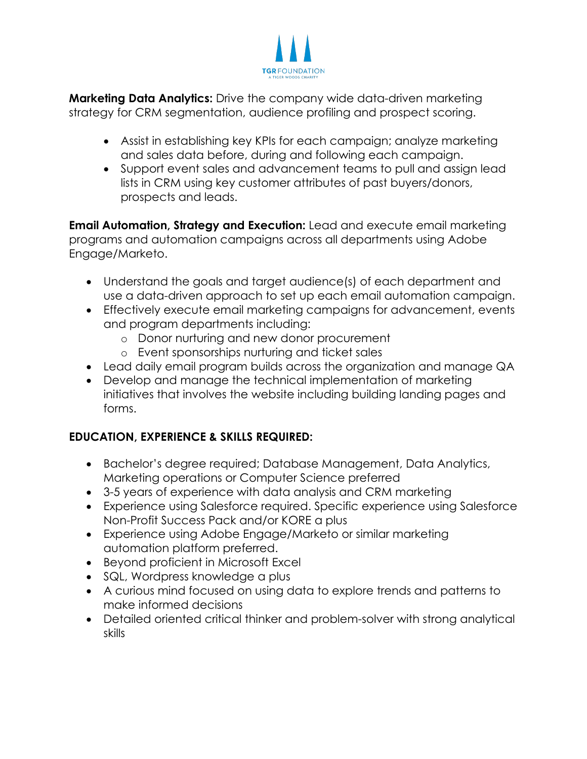

**Marketing Data Analytics:** Drive the company wide data-driven marketing strategy for CRM segmentation, audience profiling and prospect scoring.

- Assist in establishing key KPIs for each campaign; analyze marketing and sales data before, during and following each campaign.
- Support event sales and advancement teams to pull and assign lead lists in CRM using key customer attributes of past buyers/donors, prospects and leads.

**Email Automation, Strategy and Execution:** Lead and execute email marketing programs and automation campaigns across all departments using Adobe Engage/Marketo.

- Understand the goals and target audience(s) of each department and use a data-driven approach to set up each email automation campaign.
- Effectively execute email marketing campaigns for advancement, events and program departments including:
	- o Donor nurturing and new donor procurement
	- o Event sponsorships nurturing and ticket sales
- Lead daily email program builds across the organization and manage QA
- Develop and manage the technical implementation of marketing initiatives that involves the website including building landing pages and forms.

# **EDUCATION, EXPERIENCE & SKILLS REQUIRED:**

- Bachelor's degree required; Database Management, Data Analytics, Marketing operations or Computer Science preferred
- 3-5 years of experience with data analysis and CRM marketing
- Experience using Salesforce required. Specific experience using Salesforce Non-Profit Success Pack and/or KORE a plus
- Experience using Adobe Engage/Marketo or similar marketing automation platform preferred.
- Beyond proficient in Microsoft Excel
- SQL, Wordpress knowledge a plus
- A curious mind focused on using data to explore trends and patterns to make informed decisions
- Detailed oriented critical thinker and problem-solver with strong analytical skills